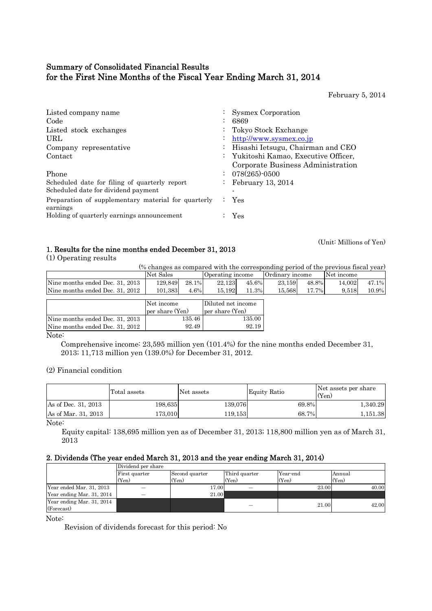# Summary of Consolidated Financial Results for the First Nine Months of the Fiscal Year Ending March 31, 2014

February 5, 2014

(Unit: Millions of Yen)

| Listed company name                                             | : Sysmex Corporation                  |
|-----------------------------------------------------------------|---------------------------------------|
| Code                                                            | 6869                                  |
| Listed stock exchanges                                          | Tokyo Stock Exchange                  |
| URL                                                             | http://www.sysmex.co.jp               |
| Company representative                                          | : Hisashi Ietsugu, Chairman and CEO   |
| Contact                                                         | : Yukitoshi Kamao, Executive Officer, |
|                                                                 | Corporate Business Administration     |
| Phone                                                           | $: 078(265) \cdot 0500$               |
| Scheduled date for filing of quarterly report                   | February 13, 2014                     |
| Scheduled date for dividend payment                             |                                       |
| Preparation of supplementary material for quarterly<br>earnings | $:$ Yes                               |
| Holding of quarterly earnings announcement                      | <b>Yes</b>                            |

## 1. Results for the nine months ended December 31, 2013

(1) Operating results

(% changes as compared with the corresponding period of the previous fiscal year)

|                                 | Net Sales       |       | Operating income   |       | Ordinary income |       | Net income |       |
|---------------------------------|-----------------|-------|--------------------|-------|-----------------|-------|------------|-------|
| Nine months ended Dec. 31, 2013 | 129.849         | 28.1% | 22,123             | 45.6% | 23.159          | 48.8% | 14.002     | 47.1% |
| Nine months ended Dec. 31, 2012 | 101,383         | 4.6%  | 15,192             | 11.3% | 15,568          | 17.7% | 9,518      | 10.9% |
|                                 |                 |       |                    |       |                 |       |            |       |
|                                 | Net income      |       | Diluted net income |       |                 |       |            |       |
|                                 | per share (Yen) |       | per share (Yen)    |       |                 |       |            |       |
| Nine months ended Dec. 31, 2013 | 135.46          |       | 135.00             |       |                 |       |            |       |
| Nine months ended Dec. 31, 2012 |                 | 92.49 |                    | 92.19 |                 |       |            |       |

Note:

 Comprehensive income: 23,595 million yen (101.4%) for the nine months ended December 31, 2013; 11,713 million yen (139.0%) for December 31, 2012.

(2) Financial condition

|                     | Total assets | Net assets | Equity Ratio | Net assets per share<br>(Yen) |
|---------------------|--------------|------------|--------------|-------------------------------|
| As of Dec. 31, 2013 | 198,635      | 139,076    | 69.8%        | 1.340.29                      |
| As of Mar. 31, 2013 | 173.010      | 119.153    | 68.7%        | 1.151.38                      |

Note:

Equity capital: 138,695 million yen as of December 31, 2013; 118,800 million yen as of March 31, 2013

## 2. Dividends (The year ended March 31, 2013 and the year ending March 31, 2014)

|                                         | Dividend per share |                |               |          |        |
|-----------------------------------------|--------------------|----------------|---------------|----------|--------|
|                                         | First quarter      | Second quarter | Third quarter | Year-end | Annual |
|                                         | (Yen)              | (Yen)          | (Yen)         | (Yen)    | (Yen)  |
| Year ended Mar. 31, 2013                |                    | 17.00          |               | 23.00    | 40.00  |
| Year ending Mar. 31, 2014               |                    | 21.00          |               |          |        |
| Year ending Mar. 31, 2014<br>(Forecast) |                    |                |               | 21.00    | 42.00  |

Note:

Revision of dividends forecast for this period: No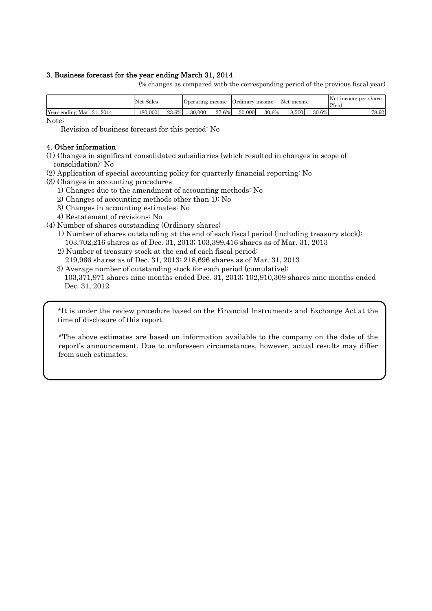## 3. Business forecast for the year ending March 31, 2014

(% changes as compared with the corresponding period of the previous fiscal year)

|                              | Net Sales |       | Uperating income |       | Ordinary income |       | Net income |       | Net income per share<br>(Yen) |
|------------------------------|-----------|-------|------------------|-------|-----------------|-------|------------|-------|-------------------------------|
| Year ending Mar. 31,<br>2014 | 180,000   | 23.6% | 30,000           | 37.6% | 30,000          | 30.6% | 18.500     | 30.6% | 178.921                       |

Note:

Revision of business forecast for this period: No

## 4. Other information

(1) Changes in significant consolidated subsidiaries (which resulted in changes in scope of consolidation): No

- (2) Application of special accounting policy for quarterly financial reporting: No
- (3) Changes in accounting procedures
	- 1) Changes due to the amendment of accounting methods: No
	- 2) Changes of accounting methods other than 1): No
	- 3) Changes in accounting estimates: No
	- 4) Restatement of revisions: No
- (4) Number of shares outstanding (Ordinary shares)
	- 1) Number of shares outstanding at the end of each fiscal period (including treasury stock): 103,702,216 shares as of Dec. 31, 2013; 103,399,416 shares as of Mar. 31, 2013
	- 2) Number of treasury stock at the end of each fiscal period: 219,966 shares as of Dec. 31, 2013; 218,696 shares as of Mar. 31, 2013
	- 3) Average number of outstanding stock for each period (cumulative): 103,371,971 shares nine months ended Dec. 31, 2013; 102,910,309 shares nine months ended Dec. 31, 2012

\*It is under the review procedure based on the Financial Instruments and Exchange Act at the time of disclosure of this report.

\*The above estimates are based on information available to the company on the date of the report's announcement. Due to unforeseen circumstances, however, actual results may differ from such estimates.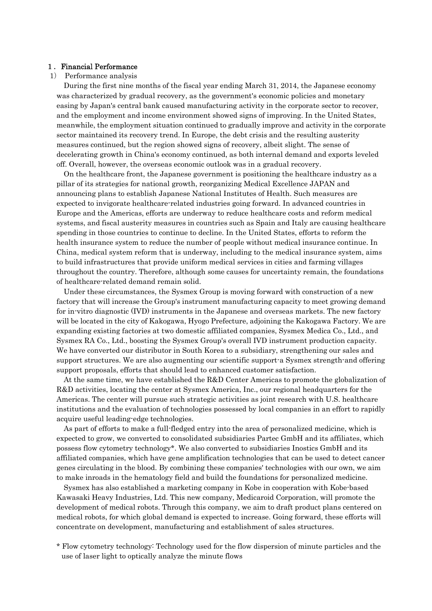### 1.Financial Performance

## 1) Performance analysis

During the first nine months of the fiscal year ending March 31, 2014, the Japanese economy was characterized by gradual recovery, as the government's economic policies and monetary easing by Japan's central bank caused manufacturing activity in the corporate sector to recover, and the employment and income environment showed signs of improving. In the United States, meanwhile, the employment situation continued to gradually improve and activity in the corporate sector maintained its recovery trend. In Europe, the debt crisis and the resulting austerity measures continued, but the region showed signs of recovery, albeit slight. The sense of decelerating growth in China's economy continued, as both internal demand and exports leveled off. Overall, however, the overseas economic outlook was in a gradual recovery.

On the healthcare front, the Japanese government is positioning the healthcare industry as a pillar of its strategies for national growth, reorganizing Medical Excellence JAPAN and announcing plans to establish Japanese National Institutes of Health. Such measures are expected to invigorate healthcare-related industries going forward. In advanced countries in Europe and the Americas, efforts are underway to reduce healthcare costs and reform medical systems, and fiscal austerity measures in countries such as Spain and Italy are causing healthcare spending in those countries to continue to decline. In the United States, efforts to reform the health insurance system to reduce the number of people without medical insurance continue. In China, medical system reform that is underway, including to the medical insurance system, aims to build infrastructures that provide uniform medical services in cities and farming villages throughout the country. Therefore, although some causes for uncertainty remain, the foundations of healthcare-related demand remain solid.

Under these circumstances, the Sysmex Group is moving forward with construction of a new factory that will increase the Group's instrument manufacturing capacity to meet growing demand for in-vitro diagnostic (IVD) instruments in the Japanese and overseas markets. The new factory will be located in the city of Kakogawa, Hyogo Prefecture, adjoining the Kakogawa Factory. We are expanding existing factories at two domestic affiliated companies, Sysmex Medica Co., Ltd., and Sysmex RA Co., Ltd., boosting the Sysmex Group's overall IVD instrument production capacity. We have converted our distributor in South Korea to a subsidiary, strengthening our sales and support structures. We are also augmenting our scientific support-a Sysmex strength-and offering support proposals, efforts that should lead to enhanced customer satisfaction.

At the same time, we have established the R&D Center Americas to promote the globalization of R&D activities, locating the center at Sysmex America, Inc., our regional headquarters for the Americas. The center will pursue such strategic activities as joint research with U.S. healthcare institutions and the evaluation of technologies possessed by local companies in an effort to rapidly acquire useful leading-edge technologies.

As part of efforts to make a full-fledged entry into the area of personalized medicine, which is expected to grow, we converted to consolidated subsidiaries Partec GmbH and its affiliates, which possess flow cytometry technology\*. We also converted to subsidiaries Inostics GmbH and its affiliated companies, which have gene amplification technologies that can be used to detect cancer genes circulating in the blood. By combining these companies' technologies with our own, we aim to make inroads in the hematology field and build the foundations for personalized medicine.

Sysmex has also established a marketing company in Kobe in cooperation with Kobe-based Kawasaki Heavy Industries, Ltd. This new company, Medicaroid Corporation, will promote the development of medical robots. Through this company, we aim to draft product plans centered on medical robots, for which global demand is expected to increase. Going forward, these efforts will concentrate on development, manufacturing and establishment of sales structures.

\* Flow cytometry technology: Technology used for the flow dispersion of minute particles and the use of laser light to optically analyze the minute flows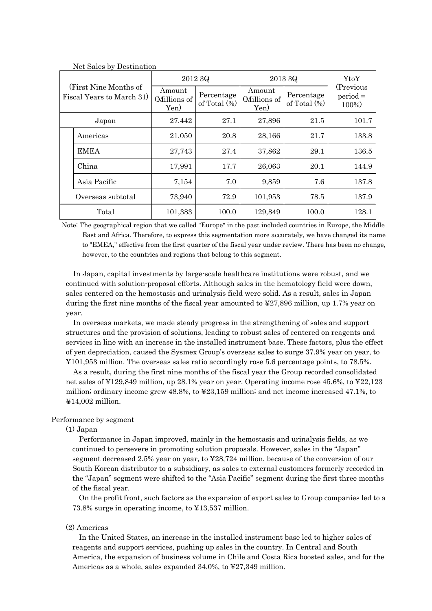| (First Nine Months of<br>Fiscal Years to March 31) |                   | 2012 3Q                                                         |       | 2013 3Q                        | YtoY                          |                                  |
|----------------------------------------------------|-------------------|-----------------------------------------------------------------|-------|--------------------------------|-------------------------------|----------------------------------|
|                                                    |                   | Amount<br>Percentage<br>(Millions of<br>of Total $(\%)$<br>Yen) |       | Amount<br>(Millions of<br>Yen) | Percentage<br>of Total $(\%)$ | (Previous<br>$period =$<br>100%) |
|                                                    | Japan             | 27,442                                                          | 27.1  | 27,896                         | 21.5                          | 101.7                            |
|                                                    | Americas          | 21,050                                                          | 20.8  | 28,166                         | 21.7                          | 133.8                            |
|                                                    | <b>EMEA</b>       | 27,743                                                          | 27.4  | 37,862                         | 29.1                          | 136.5                            |
|                                                    | China             | 17,991                                                          | 17.7  | 26,063                         | 20.1                          | 144.9                            |
|                                                    | Asia Pacific      | 7,154                                                           | 7.0   | 9,859                          | 7.6                           | 137.8                            |
|                                                    | Overseas subtotal | 73,940                                                          | 72.9  | 101,953                        | 78.5                          | 137.9                            |
|                                                    | Total             | 101,383                                                         | 100.0 | 129,849                        | 100.0                         | 128.1                            |

Net Sales by Destination

Note: The geographical region that we called "Europe" in the past included countries in Europe, the Middle East and Africa. Therefore, to express this segmentation more accurately, we have changed its name to "EMEA," effective from the first quarter of the fiscal year under review. There has been no change, however, to the countries and regions that belong to this segment.

In Japan, capital investments by large-scale healthcare institutions were robust, and we continued with solution-proposal efforts. Although sales in the hematology field were down, sales centered on the hemostasis and urinalysis field were solid. As a result, sales in Japan during the first nine months of the fiscal year amounted to ¥27,896 million, up 1.7% year on year.

In overseas markets, we made steady progress in the strengthening of sales and support structures and the provision of solutions, leading to robust sales of centered on reagents and services in line with an increase in the installed instrument base. These factors, plus the effect of yen depreciation, caused the Sysmex Group's overseas sales to surge 37.9% year on year, to ¥101,953 million. The overseas sales ratio accordingly rose 5.6 percentage points, to 78.5%.

As a result, during the first nine months of the fiscal year the Group recorded consolidated net sales of ¥129,849 million, up 28.1% year on year. Operating income rose 45.6%, to ¥22,123 million; ordinary income grew 48.8%, to ¥23,159 million; and net income increased 47.1%, to ¥14,002 million.

## Performance by segment

#### (1) Japan

Performance in Japan improved, mainly in the hemostasis and urinalysis fields, as we continued to persevere in promoting solution proposals. However, sales in the "Japan" segment decreased 2.5% year on year, to ¥28,724 million, because of the conversion of our South Korean distributor to a subsidiary, as sales to external customers formerly recorded in the "Japan" segment were shifted to the "Asia Pacific" segment during the first three months of the fiscal year.

On the profit front, such factors as the expansion of export sales to Group companies led to a 73.8% surge in operating income, to ¥13,537 million.

### (2) Americas

In the United States, an increase in the installed instrument base led to higher sales of reagents and support services, pushing up sales in the country. In Central and South America, the expansion of business volume in Chile and Costa Rica boosted sales, and for the Americas as a whole, sales expanded 34.0%, to ¥27,349 million.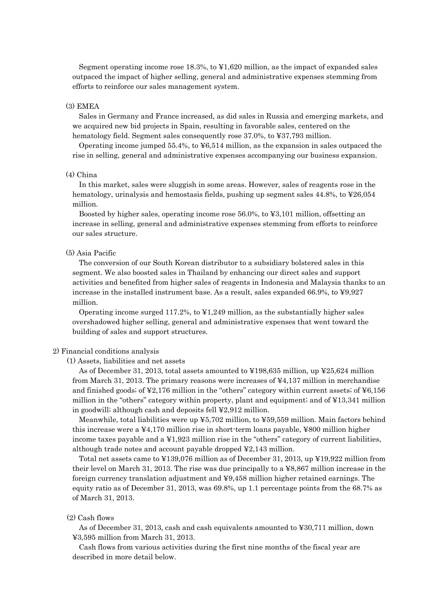Segment operating income rose 18.3%, to ¥1,620 million, as the impact of expanded sales outpaced the impact of higher selling, general and administrative expenses stemming from efforts to reinforce our sales management system.

## (3) EMEA

Sales in Germany and France increased, as did sales in Russia and emerging markets, and we acquired new bid projects in Spain, resulting in favorable sales, centered on the hematology field. Segment sales consequently rose 37.0%, to ¥37,793 million.

Operating income jumped 55.4%, to ¥6,514 million, as the expansion in sales outpaced the rise in selling, general and administrative expenses accompanying our business expansion.

#### (4) China

In this market, sales were sluggish in some areas. However, sales of reagents rose in the hematology, urinalysis and hemostasis fields, pushing up segment sales 44.8%, to ¥26,054 million.

Boosted by higher sales, operating income rose 56.0%, to ¥3,101 million, offsetting an increase in selling, general and administrative expenses stemming from efforts to reinforce our sales structure.

## (5) Asia Pacific

The conversion of our South Korean distributor to a subsidiary bolstered sales in this segment. We also boosted sales in Thailand by enhancing our direct sales and support activities and benefited from higher sales of reagents in Indonesia and Malaysia thanks to an increase in the installed instrument base. As a result, sales expanded 66.9%, to ¥9,927 million.

Operating income surged 117.2%, to ¥1,249 million, as the substantially higher sales overshadowed higher selling, general and administrative expenses that went toward the building of sales and support structures.

#### 2) Financial conditions analysis

(1) Assets, liabilities and net assets

As of December 31, 2013, total assets amounted to ¥198,635 million, up ¥25,624 million from March 31, 2013. The primary reasons were increases of  $\frac{1}{4}4,137$  million in merchandise and finished goods; of  $\yen$ 2,176 million in the "others" category within current assets; of  $\yen$ 6,156 million in the "others" category within property, plant and equipment; and of ¥13,341 million in goodwill; although cash and deposits fell ¥2,912 million.

Meanwhile, total liabilities were up  $\yen 5,702$  million, to  $\yen 59,559$  million. Main factors behind this increase were a ¥4,170 million rise in short-term loans payable, ¥800 million higher income taxes payable and a ¥1,923 million rise in the "others" category of current liabilities, although trade notes and account payable dropped ¥2,143 million.

Total net assets came to ¥139,076 million as of December 31, 2013, up ¥19,922 million from their level on March 31, 2013. The rise was due principally to a ¥8,867 million increase in the foreign currency translation adjustment and ¥9,458 million higher retained earnings. The equity ratio as of December 31, 2013, was 69.8%, up 1.1 percentage points from the 68.7% as of March 31, 2013.

### (2) Cash flows

As of December 31, 2013, cash and cash equivalents amounted to ¥30,711 million, down ¥3,595 million from March 31, 2013.

Cash flows from various activities during the first nine months of the fiscal year are described in more detail below.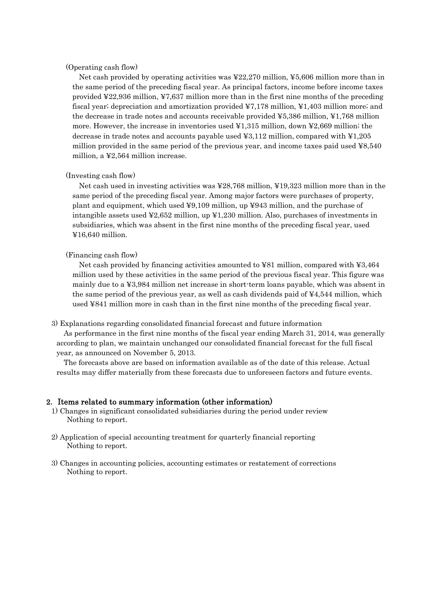## (Operating cash flow)

Net cash provided by operating activities was  $\frac{422,270 \text{ million}}{20,000 \text{ million}}$  more than in the same period of the preceding fiscal year. As principal factors, income before income taxes provided ¥22,936 million, ¥7,637 million more than in the first nine months of the preceding fiscal year; depreciation and amortization provided ¥7,178 million, ¥1,403 million more; and the decrease in trade notes and accounts receivable provided ¥5,386 million, ¥1,768 million more. However, the increase in inventories used ¥1,315 million, down ¥2,669 million; the decrease in trade notes and accounts payable used ¥3,112 million, compared with ¥1,205 million provided in the same period of the previous year, and income taxes paid used ¥8,540 million, a ¥2,564 million increase.

### (Investing cash flow)

Net cash used in investing activities was ¥28,768 million, ¥19,323 million more than in the same period of the preceding fiscal year. Among major factors were purchases of property, plant and equipment, which used ¥9,109 million, up ¥943 million, and the purchase of intangible assets used ¥2,652 million, up ¥1,230 million. Also, purchases of investments in subsidiaries, which was absent in the first nine months of the preceding fiscal year, used ¥16,640 million.

### (Financing cash flow)

Net cash provided by financing activities amounted to ¥81 million, compared with ¥3,464 million used by these activities in the same period of the previous fiscal year. This figure was mainly due to a ¥3,984 million net increase in short-term loans payable, which was absent in the same period of the previous year, as well as cash dividends paid of ¥4,544 million, which used ¥841 million more in cash than in the first nine months of the preceding fiscal year.

#### 3) Explanations regarding consolidated financial forecast and future information

 As performance in the first nine months of the fiscal year ending March 31, 2014, was generally according to plan, we maintain unchanged our consolidated financial forecast for the full fiscal year, as announced on November 5, 2013.

The forecasts above are based on information available as of the date of this release. Actual results may differ materially from these forecasts due to unforeseen factors and future events.

## 2.Items related to summary information (other information)

- 1) Changes in significant consolidated subsidiaries during the period under review Nothing to report.
- 2) Application of special accounting treatment for quarterly financial reporting Nothing to report.
- 3) Changes in accounting policies, accounting estimates or restatement of corrections Nothing to report.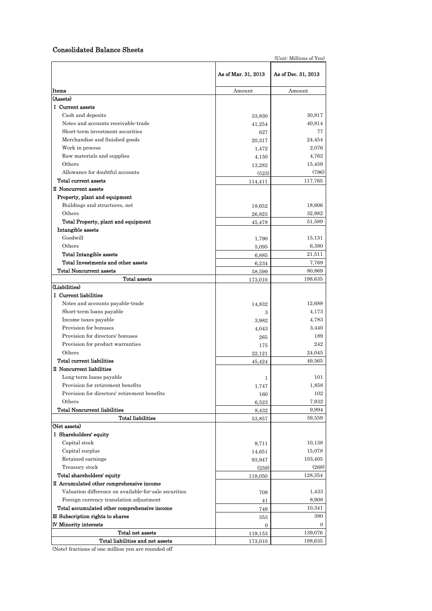## Consolidated Balance Sheets

|                                                       |                     | (Unit: Millions of Yen) |
|-------------------------------------------------------|---------------------|-------------------------|
|                                                       | As of Mar. 31, 2013 | As of Dec. 31, 2013     |
| Items                                                 | Amount              | Amount                  |
| (Assets)                                              |                     |                         |
| I Current assets                                      |                     |                         |
| Cash and deposits                                     | 33,830              | 30,917                  |
| Notes and accounts receivable-trade                   | 41,254              | 40,814                  |
| Short-term investment securities                      | 627                 | 77                      |
| Merchandise and finished goods                        | 20,317              | 24,454                  |
| Work in process                                       | 1,472               | 2,076                   |
| Raw materials and supplies                            | 4,150               | 4,762                   |
| Others                                                | 13,282              | 15,459                  |
| Allowance for doubtful accounts                       | (523)               | (796)                   |
| Total current assets                                  | 114,411             | 117,765                 |
| II Noncurrent assets                                  |                     |                         |
| Property, plant and equipment                         |                     |                         |
| Buildings and structures, net                         | 18,652              | 18,606                  |
| Others                                                | 26,825              | 32,982                  |
| Total Property, plant and equipment                   | 45,478              | 51,589                  |
| Intangible assets                                     |                     |                         |
| Goodwill                                              | 1,790               | 15,131                  |
| Others                                                | 5,095               | 6,380                   |
| <b>Total Intangible assets</b>                        | 6,885               | 21,511                  |
| Total Investments and other assets                    | 6,234               | 7,769                   |
| <b>Total Noncurrent assets</b>                        | 58,599              | 80,869                  |
| Total assets                                          | 173,010             | 198,635                 |
| (Liabilities)                                         |                     |                         |
| I Current liabilities                                 |                     |                         |
| Notes and accounts payable-trade                      | 14,832              | 12,688                  |
| Short-term loans payable                              | 3                   | 4,173                   |
| Income taxes payable                                  | 3,982               | 4,783                   |
| Provision for bonuses                                 | 4,043               | 3,440                   |
| Provision for directors' bonuses                      | 265                 | 189                     |
| Provision for product warranties                      | 175                 | 242                     |
| Others                                                | 22,121              | 24,045                  |
| Total current liabilities                             | 45,424              | 49,565                  |
| II Noncurrent liabilities                             |                     |                         |
| Long-term loans payable                               | 1                   | 101                     |
| Provision for retirement benefits                     | 1,747               | 1,858                   |
| Provision for directors' retirement benefits          | 160                 | 102                     |
| Others                                                | 6,523               | 7,932                   |
| <b>Total Noncurrent liabilities</b>                   | 8,432               | 9,994                   |
| <b>Total liabilities</b>                              | 53,857              | 59,559                  |
| (Net assets)                                          |                     |                         |
| I Shareholders' equity                                |                     |                         |
| Capital stock                                         | 9,711               | 10,138                  |
| Capital surplus                                       | 14,651              | 15,078                  |
| Retained earnings                                     | 93,947              | 103,405                 |
| Treasury stock                                        | (259)               | (268)                   |
| Total shareholders' equity                            | 118,050             | 128,354                 |
| II Accumulated other comprehensive income             |                     |                         |
| Valuation difference on available-for-sale securities | 708                 | 1,433                   |
| Foreign currency translation adjustment               | 41                  | 8,908                   |
| Total accumulated other comprehensive income          | 749                 | 10,341                  |
| III Subscription rights to shares                     | 353                 | 380                     |
| <b>IV Minority interests</b>                          | $\mathbf{0}$        | $\mathbf{0}$            |
| Total net assets                                      | 119,153             | 139,076                 |
| Total liabilities and net assets                      | 173,010             | 198,635                 |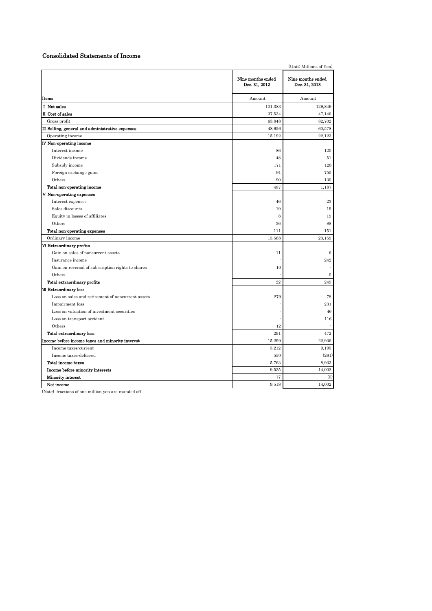## Consolidated Statements of Income

|                                                   |                                    | (Unit: Millions of Yen)            |
|---------------------------------------------------|------------------------------------|------------------------------------|
|                                                   | Nine months ended<br>Dec. 31, 2012 | Nine months ended<br>Dec. 31, 2013 |
| Items                                             | Amount                             | Amount                             |
| I Net sales                                       | 101,383                            | 129,849                            |
| II Cost of sales                                  | 37,534                             | 47,146                             |
| Gross profit                                      | 63,848                             | 82,702                             |
| III Selling, general and administrative expenses  | 48,656                             | 60,578                             |
| Operating income                                  | 15,192                             | 22.123                             |
| <b>IV</b> Non-operating income                    |                                    |                                    |
| Interest income                                   | 86                                 | 120                                |
| Dividends income                                  | 48                                 | 51                                 |
| Subsidy income                                    | 171                                | 128                                |
| Foreign exchange gains                            | 91                                 | 755                                |
| Others                                            | 90                                 | 130                                |
| Total non-operating income                        | 487                                | 1,187                              |
| V Non-operating expenses                          |                                    |                                    |
| Interest expenses                                 | 46                                 | 23                                 |
| Sales discounts                                   | 19                                 | 19                                 |
| Equity in losses of affiliates                    | 8                                  | 19                                 |
| Others                                            | 36                                 | 88                                 |
| Total non-operating expenses                      | 111                                | 151                                |
| Ordinary income                                   | 15,568                             | 23,159                             |
| VI Extraordinary profits                          |                                    |                                    |
| Gain on sales of noncurrent assets                | 11                                 | 6                                  |
| Insurance income                                  |                                    | $\bf 242$                          |
| Gain on reversal of subscription rights to shares | $10\,$                             |                                    |
| Others                                            |                                    | $\boldsymbol{0}$                   |
| Total extraordinary profits                       | 22                                 | 249                                |
| <b>VII Extraordinary loss</b>                     |                                    |                                    |
| Loss on sales and retirement of noncurrent assets | 279                                | 78                                 |
| Impairment loss                                   |                                    | 231                                |
| Loss on valuation of investment securities        |                                    | 46                                 |
| Loss on transport accident                        |                                    | 116                                |
| Others                                            | 12                                 |                                    |
| <b>Total extraordinary loss</b>                   | 291                                | 472                                |
| Income before income taxes and minority interest  | 15,299                             | 22,936                             |
| Income taxes-current                              | 5,212                              | 9,195                              |
| Income taxes-deferred                             | 550                                | (261)                              |
| Total income taxes                                | 5,763                              | 8,933                              |
| Income before minority interests                  | 9,535                              | 14,002                             |
| <b>Minority interest</b>                          | 17                                 | (0)                                |
| Net income                                        | 9,518                              | 14,002                             |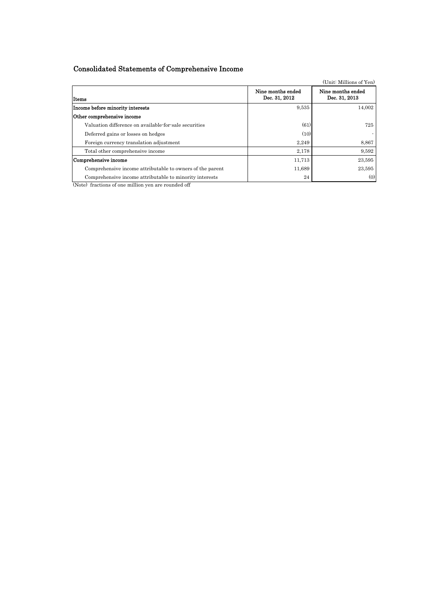# Consolidated Statements of Comprehensive Income

|                                                                                                                                                                                                                                                                                                                                                                            |                                    | (Unit: Millions of Yen)            |
|----------------------------------------------------------------------------------------------------------------------------------------------------------------------------------------------------------------------------------------------------------------------------------------------------------------------------------------------------------------------------|------------------------------------|------------------------------------|
| Items                                                                                                                                                                                                                                                                                                                                                                      | Nine months ended<br>Dec. 31, 2012 | Nine months ended<br>Dec. 31, 2013 |
| Income before minority interests                                                                                                                                                                                                                                                                                                                                           | 9,535                              | 14,002                             |
| Other comprehensive income                                                                                                                                                                                                                                                                                                                                                 |                                    |                                    |
| Valuation difference on available-for-sale securities                                                                                                                                                                                                                                                                                                                      | (61)                               | 725                                |
| Deferred gains or losses on hedges                                                                                                                                                                                                                                                                                                                                         | (10)                               |                                    |
| Foreign currency translation adjustment                                                                                                                                                                                                                                                                                                                                    | 2,249                              | 8,867                              |
| Total other comprehensive income                                                                                                                                                                                                                                                                                                                                           | 2,178                              | 9,592                              |
| Comprehensive income                                                                                                                                                                                                                                                                                                                                                       | 11,713                             | 23,595                             |
| Comprehensive income attributable to owners of the parent                                                                                                                                                                                                                                                                                                                  | 11,689                             | 23,595                             |
| Comprehensive income attributable to minority interests<br>$\sqrt{2}$ and $\sqrt{2}$ and $\sqrt{2}$ and $\sqrt{2}$ and $\sqrt{2}$ and $\sqrt{2}$ and $\sqrt{2}$ and $\sqrt{2}$ and $\sqrt{2}$ and $\sqrt{2}$ and $\sqrt{2}$ and $\sqrt{2}$ and $\sqrt{2}$ and $\sqrt{2}$ and $\sqrt{2}$ and $\sqrt{2}$ and $\sqrt{2}$ and $\sqrt{2}$ and $\sqrt{2$<br>$\sim$ $\sim$ $\sim$ | 24                                 | (0)                                |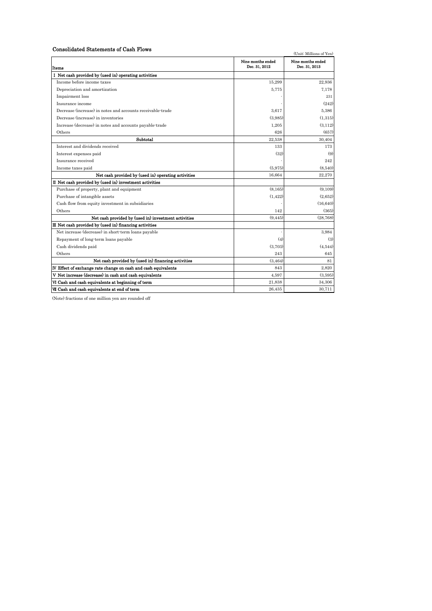#### Consolidated Statements of Cash Flows

| Consolidated Statements of Cash Flows                          |                                    | (Unit: Millions of Yen)            |
|----------------------------------------------------------------|------------------------------------|------------------------------------|
| Items                                                          | Nine months ended<br>Dec. 31, 2012 | Nine months ended<br>Dec. 31, 2013 |
| I Net cash provided by (used in) operating activities          |                                    |                                    |
| Income before income taxes                                     | 15,299                             | 22.936                             |
| Depreciation and amortization                                  | 5,775                              | 7,178                              |
| Impairment loss                                                |                                    | 231                                |
| Insurance income                                               |                                    | (242)                              |
| Decrease (increase) in notes and accounts receivable-trade     | 3.617                              | 5.386                              |
| Decrease (increase) in inventories                             | (3.985)                            | (1,315)                            |
| Increase (decrease) in notes and accounts payable-trade        | 1.205                              | (3, 112)                           |
| Others                                                         | 626                                | (657)                              |
| Subtotal                                                       | 22,538                             | 30,404                             |
| Interest and dividends received                                | 133                                | 173                                |
| Interest expenses paid                                         | (32)                               | (9)                                |
| Insurance received                                             |                                    | 242                                |
| Income taxes paid                                              | (5,975)                            | (8,540)                            |
| Net cash provided by (used in) operating activities            | 16.664                             | 22,270                             |
| II Net cash provided by (used in) investment activities        |                                    |                                    |
| Purchase of property, plant and equipment                      | (8, 165)                           | (9,109)                            |
| Purchase of intangible assets                                  | (1, 422)                           | (2,652)                            |
| Cash flow from equity investment in subsidiaries               |                                    | (16, 640)                          |
| Others                                                         | 142                                | (365)                              |
| Net cash provided by (used in) investment activities           | (9, 445)                           | (28, 768)                          |
| III Net cash provided by (used in) financing activities        |                                    |                                    |
| Net increase (decrease) in short-term loans payable            |                                    | 3.984                              |
| Repayment of long-term loans payable                           | (4)                                | (3)                                |
| Cash dividends paid                                            | (3.703)                            | (4,544)                            |
| Others                                                         | 243                                | 645                                |
| Net cash provided by (used in) financing activities            | (3.464)                            | 81                                 |
| IV Effect of exchange rate change on cash and cash equivalents | 843                                | 2.820                              |
| V Net increase (decrease) in cash and cash equivalents         | 4,597                              | (3,595)                            |
| VI Cash and cash equivalents at beginning of term              | 21,838                             | 34,306                             |
| VII Cash and cash equivalents at end of term                   | 26,435                             | 30,711                             |